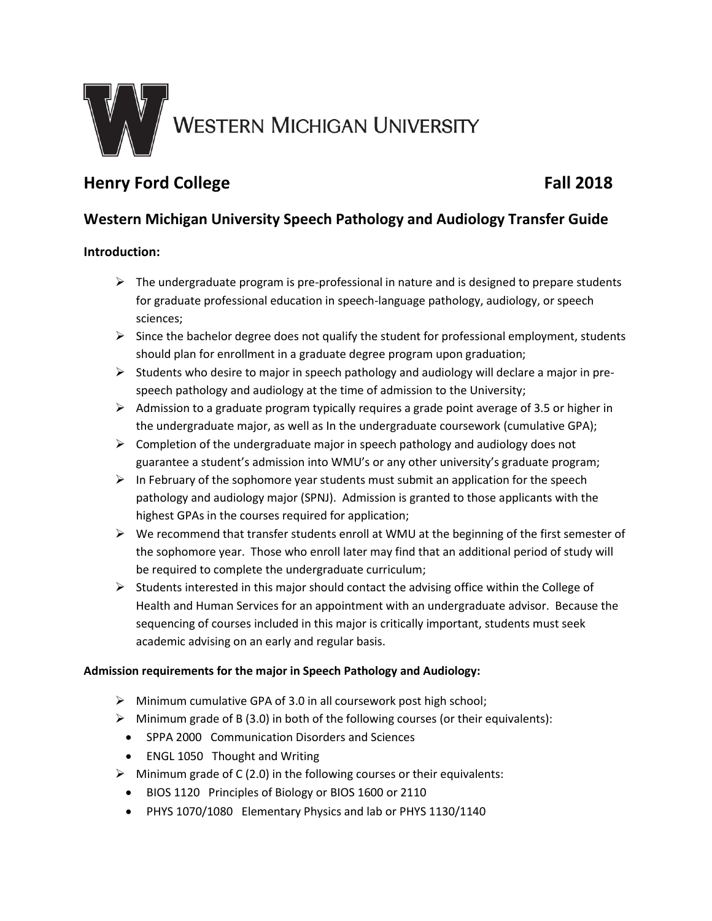

# **Henry Ford College Fall 2018**

## **Western Michigan University Speech Pathology and Audiology Transfer Guide**

### **Introduction:**

- $\triangleright$  The undergraduate program is pre-professional in nature and is designed to prepare students for graduate professional education in speech-language pathology, audiology, or speech sciences;
- $\triangleright$  Since the bachelor degree does not qualify the student for professional employment, students should plan for enrollment in a graduate degree program upon graduation;
- $\triangleright$  Students who desire to major in speech pathology and audiology will declare a major in prespeech pathology and audiology at the time of admission to the University;
- $\triangleright$  Admission to a graduate program typically requires a grade point average of 3.5 or higher in the undergraduate major, as well as In the undergraduate coursework (cumulative GPA);
- $\triangleright$  Completion of the undergraduate major in speech pathology and audiology does not guarantee a student's admission into WMU's or any other university's graduate program;
- $\triangleright$  In February of the sophomore year students must submit an application for the speech pathology and audiology major (SPNJ). Admission is granted to those applicants with the highest GPAs in the courses required for application;
- $\triangleright$  We recommend that transfer students enroll at WMU at the beginning of the first semester of the sophomore year. Those who enroll later may find that an additional period of study will be required to complete the undergraduate curriculum;
- $\triangleright$  Students interested in this major should contact the advising office within the College of Health and Human Services for an appointment with an undergraduate advisor. Because the sequencing of courses included in this major is critically important, students must seek academic advising on an early and regular basis.

#### **Admission requirements for the major in Speech Pathology and Audiology:**

- Minimum cumulative GPA of 3.0 in all coursework post high school;
- $\triangleright$  Minimum grade of B (3.0) in both of the following courses (or their equivalents):
- SPPA 2000 Communication Disorders and Sciences
- ENGL 1050 Thought and Writing
- $\triangleright$  Minimum grade of C (2.0) in the following courses or their equivalents:
	- BIOS 1120 Principles of Biology or BIOS 1600 or 2110
	- PHYS 1070/1080 Elementary Physics and lab or PHYS 1130/1140